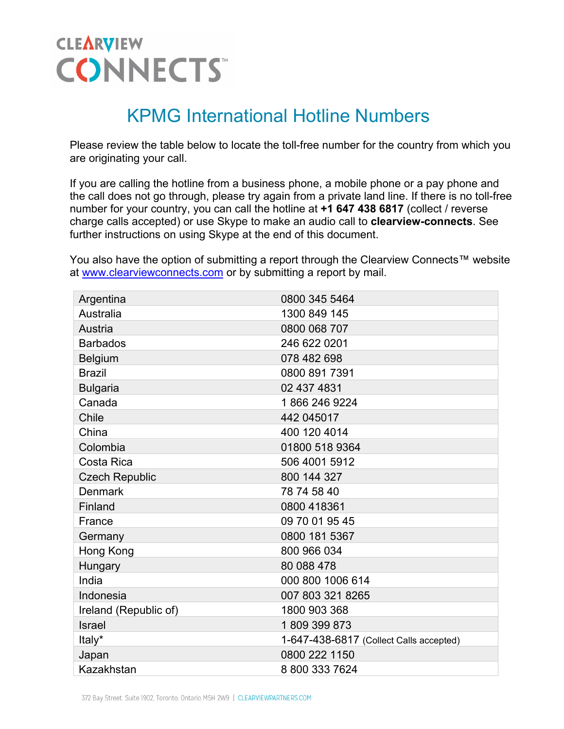## **CLEARVIEW CONNECTS**

## KPMG International Hotline Numbers

Please review the table below to locate the toll-free number for the country from which you are originating your call.

If you are calling the hotline from a business phone, a mobile phone or a pay phone and the call does not go through, please try again from a private land line. If there is no toll-free number for your country, you can call the hotline at **+1 647 438 6817** (collect / reverse charge calls accepted) or use Skype to make an audio call to **clearview-connects**. See further instructions on using Skype at the end of this document.

You also have the option of submitting a report through the Clearview Connects™ website at [www.clearviewconnects.com](https://www.clearviewconnects.com/Home.htm?org=kpmginternational&lang=en) or by submitting a report by mail.

| Argentina             | 0800 345 5464                           |
|-----------------------|-----------------------------------------|
| Australia             | 1300 849 145                            |
| Austria               | 0800 068 707                            |
| <b>Barbados</b>       | 246 622 0201                            |
| <b>Belgium</b>        | 078 482 698                             |
| <b>Brazil</b>         | 0800 891 7391                           |
| <b>Bulgaria</b>       | 02 437 4831                             |
| Canada                | 18662469224                             |
| Chile                 | 442 045017                              |
| China                 | 400 120 4014                            |
| Colombia              | 01800 518 9364                          |
| Costa Rica            | 506 4001 5912                           |
| <b>Czech Republic</b> | 800 144 327                             |
| <b>Denmark</b>        | 78 74 58 40                             |
| Finland               | 0800 418361                             |
| France                | 09 70 01 95 45                          |
| Germany               | 0800 181 5367                           |
| Hong Kong             | 800 966 034                             |
| Hungary               | 80 088 478                              |
| India                 | 000 800 1006 614                        |
| Indonesia             | 007 803 321 8265                        |
| Ireland (Republic of) | 1800 903 368                            |
| <b>Israel</b>         | 1809 399 873                            |
| Italy*                | 1-647-438-6817 (Collect Calls accepted) |
| Japan                 | 0800 222 1150                           |
| Kazakhstan            | 8 800 333 7624                          |